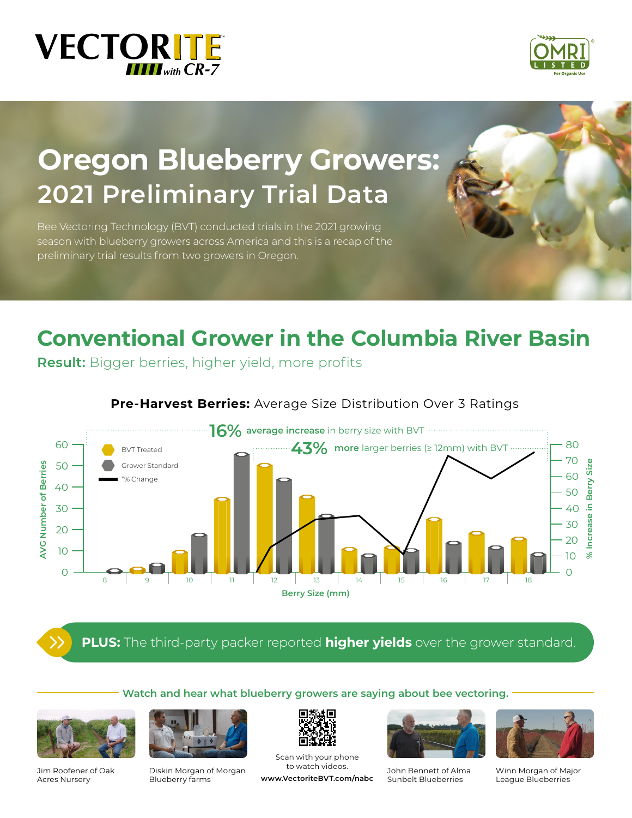



# **Oregon Blueberry Growers: 2021 Preliminary Trial Data**

Bee Vectoring Technology (BVT) conducted trials in the 2021 growing season with blueberry growers across America and this is a recap of the preliminary trial results from two growers in Oregon.

# **Conventional Grower in the Columbia River Basin**

**Result:** Bigger berries, higher yield, more profits



### **Pre-Harvest Berries:** Average Size Distribution Over 3 Ratings

**PLUS:** The third-party packer reported **higher yields** over the grower standard.

### **Watch and hear what blueberry growers are saying about bee vectoring.**



Jim Roofener of Oak Acres Nursery



Diskin Morgan of Morgan Blueberry farms



Scan with your phone to watch videos.

**www.VectoriteBVT.com/nabc** 



John Bennett of Alma Sunbelt Blueberries



Winn Morgan of Major League Blueberries